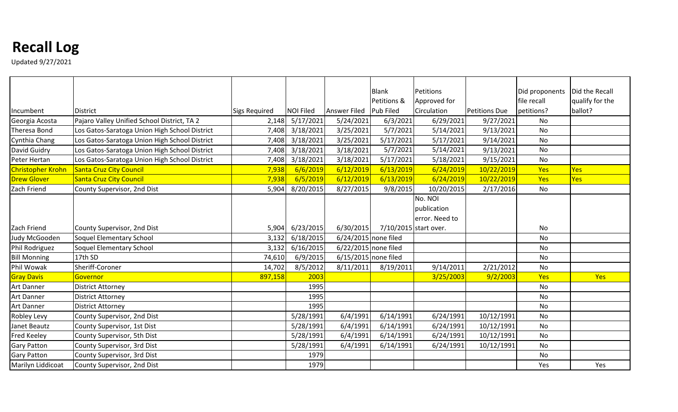## **Recall Log**

Updated 9/27/2021

|                     |                                               |                      |                  |                     | <b>Blank</b>          | Petitions      |                      | Did proponents | Did the Recall  |
|---------------------|-----------------------------------------------|----------------------|------------------|---------------------|-----------------------|----------------|----------------------|----------------|-----------------|
|                     |                                               |                      |                  |                     | Petitions &           | Approved for   |                      | file recall    | qualify for the |
| Incumbent           | <b>District</b>                               | <b>Sigs Required</b> | <b>NOI Filed</b> | <b>Answer Filed</b> | <b>Pub Filed</b>      | Circulation    | <b>Petitions Due</b> | petitions?     | ballot?         |
| Georgia Acosta      | Pajaro Valley Unified School District, TA 2   | 2,148                | 5/17/2021        | 5/24/2021           | 6/3/2021              | 6/29/2021      | 9/27/2021            | <b>No</b>      |                 |
| <b>Theresa Bond</b> | Los Gatos-Saratoga Union High School District | 7,408                | 3/18/2021        | 3/25/2021           | 5/7/2021              | 5/14/2021      | 9/13/2021            | <b>No</b>      |                 |
| Cynthia Chang       | Los Gatos-Saratoga Union High School District | 7,408                | 3/18/2021        | 3/25/2021           | 5/17/2021             | 5/17/2021      | 9/14/2021            | <b>No</b>      |                 |
| David Guidry        | Los Gatos-Saratoga Union High School District | 7,408                | 3/18/2021        | 3/18/2021           | 5/7/2021              | 5/14/2021      | 9/13/2021            | <b>No</b>      |                 |
| Peter Hertan        | Los Gatos-Saratoga Union High School District | 7,408                | 3/18/2021        | 3/18/2021           | 5/17/2021             | 5/18/2021      | 9/15/2021            | No             |                 |
| Christopher Krohn   | Santa Cruz City Council                       | 7,938                | 6/6/2019         | 6/12/2019           | 6/13/2019             | 6/24/2019      | 10/22/2019           | Yes            | <b>Yes</b>      |
| <b>Drew Glover</b>  | <b>Santa Cruz City Council</b>                | 7,938                | 6/5/2019         | 6/12/2019           | 6/13/2019             | 6/24/2019      | 10/22/2019           | Yes            | Yes             |
| Zach Friend         | County Supervisor, 2nd Dist                   | 5,904                | 8/20/2015        | 8/27/2015           | 9/8/2015              | 10/20/2015     | 2/17/2016            | No             |                 |
|                     |                                               |                      |                  |                     |                       | No. NOI        |                      |                |                 |
|                     |                                               |                      |                  |                     |                       | publication    |                      |                |                 |
|                     |                                               |                      |                  |                     |                       | error. Need to |                      |                |                 |
| Zach Friend         | County Supervisor, 2nd Dist                   | 5,904                | 6/23/2015        | 6/30/2015           | 7/10/2015 start over. |                |                      | No             |                 |
| Judy McGooden       | Soquel Elementary School                      | 3,132                | 6/18/2015        |                     | 6/24/2015 none filed  |                |                      | <b>No</b>      |                 |
| Phil Rodriguez      | Soquel Elementary School                      | 3,132                | 6/16/2015        |                     | 6/22/2015 none filed  |                |                      | No             |                 |
| <b>Bill Monning</b> | 17th SD                                       | 74,610               | 6/9/2015         |                     | 6/15/2015 none filed  |                |                      | No             |                 |
| Phil Wowak          | Sheriff-Coroner                               | 14,702               | 8/5/2012         | 8/11/2011           | 8/19/2011             | 9/14/2011      | 2/21/2012            | No             |                 |
| <b>Gray Davis</b>   | Governor                                      | 897,158              | 2003             |                     |                       | 3/25/2003      | 9/2/2003             | Yes            | Yes             |
| <b>Art Danner</b>   | <b>District Attorney</b>                      |                      | 1995             |                     |                       |                |                      | No             |                 |
| <b>Art Danner</b>   | <b>District Attorney</b>                      |                      | 1995             |                     |                       |                |                      | No             |                 |
| <b>Art Danner</b>   | <b>District Attorney</b>                      |                      | 1995             |                     |                       |                |                      | No             |                 |
| <b>Robley Levy</b>  | County Supervisor, 2nd Dist                   |                      | 5/28/1991        | 6/4/1991            | 6/14/1991             | 6/24/1991      | 10/12/1991           | <b>No</b>      |                 |
| Janet Beautz        | County Supervisor, 1st Dist                   |                      | 5/28/1991        | 6/4/1991            | 6/14/1991             | 6/24/1991      | 10/12/1991           | No             |                 |
| <b>Fred Keeley</b>  | County Supervisor, 5th Dist                   |                      | 5/28/1991        | 6/4/1991            | 6/14/1991             | 6/24/1991      | 10/12/1991           | No             |                 |
| <b>Gary Patton</b>  | County Supervisor, 3rd Dist                   |                      | 5/28/1991        | 6/4/1991            | 6/14/1991             | 6/24/1991      | 10/12/1991           | No             |                 |
| <b>Gary Patton</b>  | County Supervisor, 3rd Dist                   |                      | 1979             |                     |                       |                |                      | No             |                 |
| Marilyn Liddicoat   | County Supervisor, 2nd Dist                   |                      | 1979             |                     |                       |                |                      | Yes            | Yes             |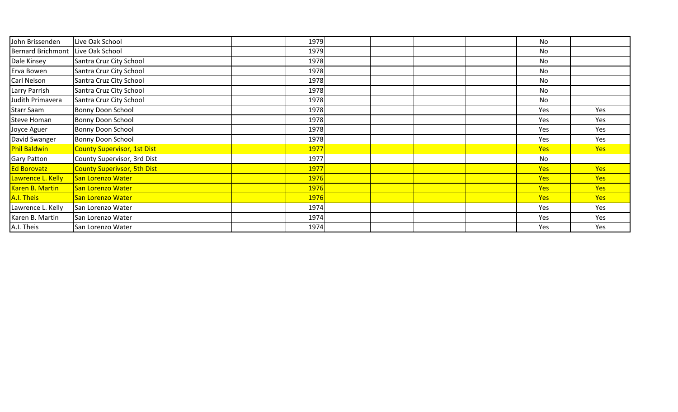| John Brissenden          | Live Oak School                    | 1979        |  | No         |            |
|--------------------------|------------------------------------|-------------|--|------------|------------|
| <b>Bernard Brichmont</b> | Live Oak School                    | 1979        |  | No         |            |
| Dale Kinsey              | Santra Cruz City School            | 1978        |  | No         |            |
| Erva Bowen               | Santra Cruz City School            | 1978        |  | No         |            |
| Carl Nelson              | Santra Cruz City School            | 1978        |  | No         |            |
| Larry Parrish            | Santra Cruz City School            | 1978        |  | No         |            |
| Judith Primavera         | Santra Cruz City School            | 1978        |  | No         |            |
| Starr Saam               | Bonny Doon School                  | 1978        |  | Yes        | Yes        |
| Steve Homan              | Bonny Doon School                  | 1978        |  | Yes        | Yes        |
| Joyce Aguer              | Bonny Doon School                  | 1978        |  | <b>Yes</b> | Yes        |
| David Swanger            | Bonny Doon School                  | 1978        |  | Yes        | Yes        |
| <b>Phil Baldwin</b>      | <b>County Supervisor, 1st Dist</b> | 1977        |  | Yes        | Yes        |
| <b>Gary Patton</b>       | County Supervisor, 3rd Dist        | 1977        |  | No         |            |
| Ed Borovatz              | <b>County Superivsor, 5th Dist</b> | 1977        |  | <b>Yes</b> | Yes        |
| Lawrence L. Kelly        | San Lorenzo Water                  | <b>1976</b> |  | <b>Yes</b> | Yes        |
| Karen B. Martin          | San Lorenzo Water                  | 1976        |  | <b>Yes</b> | <b>Yes</b> |
| A.I. Theis               | San Lorenzo Water                  | <b>1976</b> |  | <b>Yes</b> | Yes        |
| Lawrence L. Kelly        | San Lorenzo Water                  | 1974        |  | Yes        | Yes        |
| Karen B. Martin          | San Lorenzo Water                  | 1974        |  | Yes        | Yes        |
| A.I. Theis               | San Lorenzo Water                  | 1974        |  | Yes        | Yes        |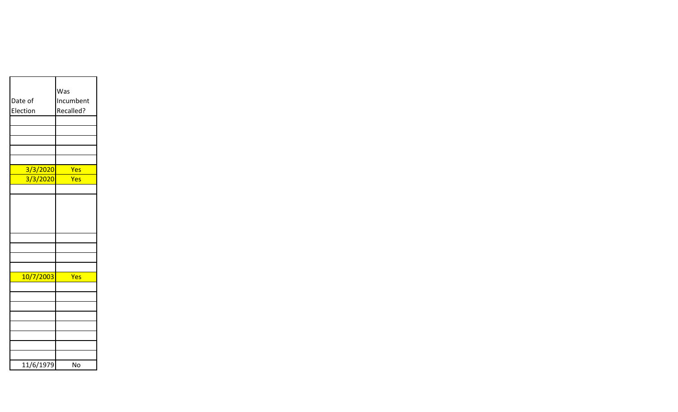|           | Was       |
|-----------|-----------|
| Date of   | Incumbent |
| Election  | Recalled? |
|           |           |
|           |           |
|           |           |
|           |           |
|           |           |
| 3/3/2020  | Yes       |
| 3/3/2020  | Yes       |
|           |           |
|           |           |
|           |           |
|           |           |
|           |           |
|           |           |
|           |           |
|           |           |
|           |           |
| 10/7/2003 | Yes       |
|           |           |
|           |           |
|           |           |
|           |           |
|           |           |
|           |           |
|           |           |
|           |           |
| 11/6/1979 | No        |